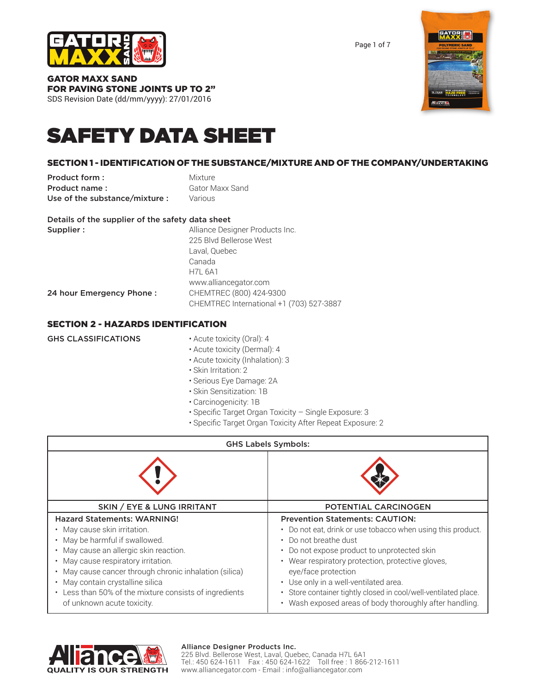

Page 1 of 7

GATOR MAXX SAND FOR PAVING STONE JOINTS UP TO 2" SDS Revision Date (dd/mm/yyyy): 27/01/2016



# SAFETY DATA SHEET

# SECTION 1 - IDENTIFICATION OF THE SUBSTANCE/MIXTURE AND OF THE COMPANY/UNDERTAKING

| Product form:                 | Mixture                |
|-------------------------------|------------------------|
| Product name:                 | <b>Gator Maxx Sand</b> |
| Use of the substance/mixture: | Various                |

|  | Details of the supplier of the safety data sheet |  |  |  |
|--|--------------------------------------------------|--|--|--|
|  |                                                  |  |  |  |

| Supplier:                | Alliance Designer Products Inc.          |
|--------------------------|------------------------------------------|
|                          | 225 Blvd Bellerose West                  |
|                          | Laval, Quebec                            |
|                          | Canada                                   |
|                          | <b>H7L 6A1</b>                           |
|                          | www.alliancegator.com                    |
| 24 hour Emergency Phone: | CHEMTREC (800) 424-9300                  |
|                          | CHEMTREC International +1 (703) 527-3887 |

### SECTION 2 - HAZARDS IDENTIFICATION

| <b>GHS CLASSIFICATIONS</b> | • Acute toxicity (Oral): 4       |
|----------------------------|----------------------------------|
|                            | • Acute toxicity (Dermal): 4     |
|                            | • Acute toxicity (Inhalation): 3 |
|                            | • Skin Irritation: 2             |
|                            | - Carious Eus Damage: 24         |

- Serious Eye Damage: 2A
- Skin Sensitization: 1B
- Carcinogenicity: 1B
- Specific Target Organ Toxicity Single Exposure: 3
- Specific Target Organ Toxicity After Repeat Exposure: 2

| <b>GHS Labels Symbols:</b>                                                                                                                                                                                                                                                                                                      |                                                                                                                                                                                                                                                                                                                                                                       |  |
|---------------------------------------------------------------------------------------------------------------------------------------------------------------------------------------------------------------------------------------------------------------------------------------------------------------------------------|-----------------------------------------------------------------------------------------------------------------------------------------------------------------------------------------------------------------------------------------------------------------------------------------------------------------------------------------------------------------------|--|
|                                                                                                                                                                                                                                                                                                                                 |                                                                                                                                                                                                                                                                                                                                                                       |  |
| <b>SKIN / EYE &amp; LUNG IRRITANT</b>                                                                                                                                                                                                                                                                                           | <b>POTENTIAL CARCINOGEN</b>                                                                                                                                                                                                                                                                                                                                           |  |
| <b>Hazard Statements: WARNING!</b><br>May cause skin irritation.<br>May be harmful if swallowed.<br>May cause an allergic skin reaction.<br>May cause respiratory irritation.<br>May cause cancer through chronic inhalation (silica)<br>May contain crystalline silica<br>Less than 50% of the mixture consists of ingredients | <b>Prevention Statements: CAUTION:</b><br>• Do not eat, drink or use tobacco when using this product.<br>• Do not breathe dust<br>• Do not expose product to unprotected skin<br>• Wear respiratory protection, protective gloves,<br>eye/face protection<br>• Use only in a well-ventilated area.<br>· Store container tightly closed in cool/well-ventilated place. |  |



#### Alliance Designer Products Inc.

225 Blvd. Bellerose West, Laval, Quebec, Canada H7L 6A1 Tel.: 450 624-1611 Fax : 450 624-1622 Toll free : 1 866-212-1611 www.alliancegator.com - Email : info@alliancegator.com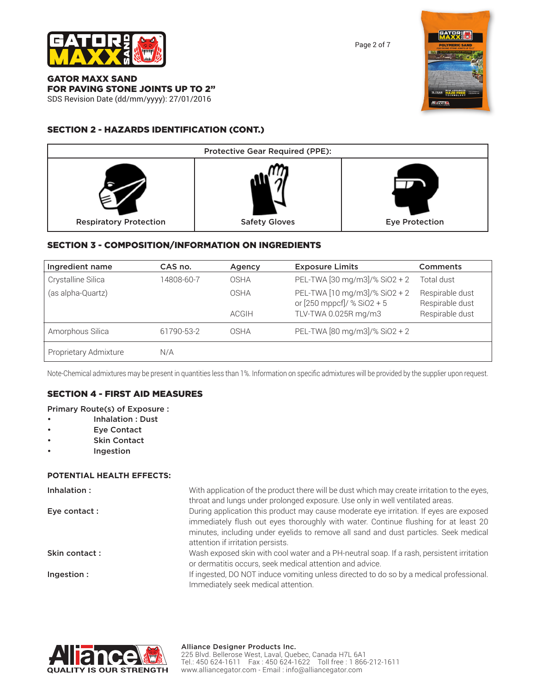

Page 2 of 7

GATOR MAXX SAND FOR PAVING STONE JOINTS UP TO 2" SDS Revision Date (dd/mm/yyyy): 27/01/2016

# SECTION 2 - HAZARDS IDENTIFICATION (CONT.)



# SECTION 3 - COMPOSITION/INFORMATION ON INGREDIENTS

| Ingredient name       | CAS no.    | Agency       | <b>Exposure Limits</b>                                      | <b>Comments</b>                    |
|-----------------------|------------|--------------|-------------------------------------------------------------|------------------------------------|
| Crystalline Silica    | 14808-60-7 | OSHA         | PEL-TWA [30 mg/m3]/% SiO2 + 2                               | Total dust                         |
| (as alpha-Quartz)     |            | OSHA         | PEL-TWA [10 mg/m3]/% SiO2 + 2<br>or [250 mppcf]/ % SiO2 + 5 | Respirable dust<br>Respirable dust |
|                       |            | <b>ACGIH</b> | TLV-TWA 0.025R mg/m3                                        | Respirable dust                    |
| Amorphous Silica      | 61790-53-2 | OSHA         | PEL-TWA [80 mg/m3]/% SiO2 + 2                               |                                    |
| Proprietary Admixture | N/A        |              |                                                             |                                    |

Note-Chemical admixtures may be present in quantities less than 1%. Information on specific admixtures will be provided by the supplier upon request.

## SECTION 4 - FIRST AID MEASURES

#### Primary Route(s) of Exposure :

- Inhalation : Dust
- **Eve Contact**
- Skin Contact
- **Ingestion**

#### **POTENTIAL HEALTH EFFECTS:**

| Inhalation:   | With application of the product there will be dust which may create irritation to the eyes,<br>throat and lungs under prolonged exposure. Use only in well ventilated areas.                                                                                                                               |
|---------------|------------------------------------------------------------------------------------------------------------------------------------------------------------------------------------------------------------------------------------------------------------------------------------------------------------|
| Eye contact : | During application this product may cause moderate eye irritation. If eyes are exposed<br>immediately flush out eyes thoroughly with water. Continue flushing for at least 20<br>minutes, including under eyelids to remove all sand and dust particles. Seek medical<br>attention if irritation persists. |
| Skin contact: | Wash exposed skin with cool water and a PH-neutral soap. If a rash, persistent irritation<br>or dermatitis occurs, seek medical attention and advice.                                                                                                                                                      |
| Ingestion:    | If ingested, DO NOT induce vomiting unless directed to do so by a medical professional.<br>Immediately seek medical attention.                                                                                                                                                                             |



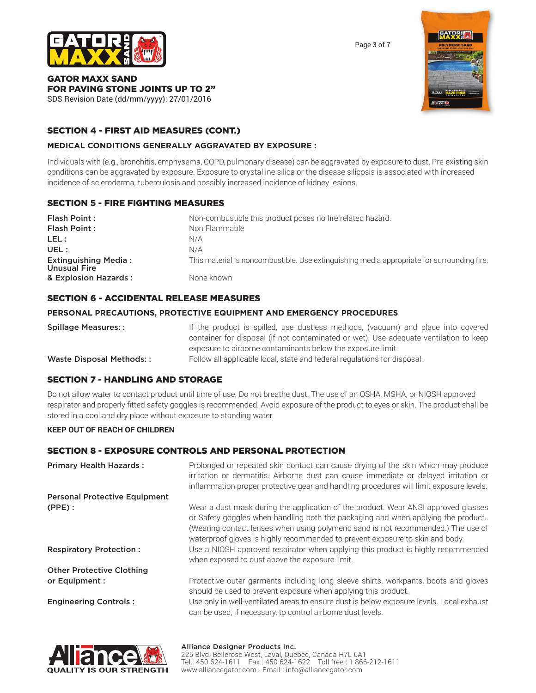

Page 3 of 7

# GATOR MAXX SAND FOR PAVING STONE JOINTS UP TO 2"

SDS Revision Date (dd/mm/yyyy): 27/01/2016

### SECTION 4 - FIRST AID MEASURES (CONT.)

#### **MEDICAL CONDITIONS GENERALLY AGGRAVATED BY EXPOSURE :**

Individuals with (e.g., bronchitis, emphysema, COPD, pulmonary disease) can be aggravated by exposure to dust. Pre-existing skin conditions can be aggravated by exposure. Exposure to crystalline silica or the disease silicosis is associated with increased incidence of scleroderma, tuberculosis and possibly increased incidence of kidney lesions.

#### SECTION 5 - FIRE FIGHTING MEASURES

| Flash Point:                                       | Non-combustible this product poses no fire related hazard.                                 |
|----------------------------------------------------|--------------------------------------------------------------------------------------------|
| Flash Point:                                       | Non Flammable                                                                              |
| LEL :                                              | N/A                                                                                        |
| UEL:                                               | N/A                                                                                        |
| <b>Extinguishing Media:</b><br><b>Unusual Fire</b> | This material is noncombustible. Use extinguishing media appropriate for surrounding fire. |
| & Explosion Hazards:                               | None known                                                                                 |

#### SECTION 6 - ACCIDENTAL RELEASE MEASURES

#### **PERSONAL PRECAUTIONS, PROTECTIVE EQUIPMENT AND EMERGENCY PROCEDURES**

| <b>Spillage Measures::</b> | If the product is spilled, use dustless methods, (vacuum) and place into covered      |
|----------------------------|---------------------------------------------------------------------------------------|
|                            | container for disposal (if not contaminated or wet). Use adequate ventilation to keep |
|                            | exposure to airborne contaminants below the exposure limit.                           |
| Waste Disposal Methods::   | Follow all applicable local, state and federal regulations for disposal.              |

#### SECTION 7 - HANDLING AND STORAGE

Do not allow water to contact product until time of use. Do not breathe dust. The use of an OSHA, MSHA, or NIOSH approved respirator and properly fitted safety goggles is recommended. Avoid exposure of the product to eyes or skin. The product shall be stored in a cool and dry place without exposure to standing water.

#### **KEEP OUT OF REACH OF CHILDREN**

#### SECTION 8 - EXPOSURE CONTROLS AND PERSONAL PROTECTION

| <b>Primary Health Hazards:</b>              | Prolonged or repeated skin contact can cause drying of the skin which may produce<br>irritation or dermatitis. Airborne dust can cause immediate or delayed irritation or<br>inflammation proper protective gear and handling procedures will limit exposure levels.                                                                                                                                                             |
|---------------------------------------------|----------------------------------------------------------------------------------------------------------------------------------------------------------------------------------------------------------------------------------------------------------------------------------------------------------------------------------------------------------------------------------------------------------------------------------|
| <b>Personal Protective Equipment</b>        |                                                                                                                                                                                                                                                                                                                                                                                                                                  |
| $(PPE)$ :<br><b>Respiratory Protection:</b> | Wear a dust mask during the application of the product. Wear ANSI approved glasses<br>or Safety goggles when handling both the packaging and when applying the product<br>(Wearing contact lenses when using polymeric sand is not recommended.) The use of<br>waterproof gloves is highly recommended to prevent exposure to skin and body.<br>Use a NIOSH approved respirator when applying this product is highly recommended |
|                                             | when exposed to dust above the exposure limit.                                                                                                                                                                                                                                                                                                                                                                                   |
| <b>Other Protective Clothing</b>            |                                                                                                                                                                                                                                                                                                                                                                                                                                  |
| or Equipment :                              | Protective outer garments including long sleeve shirts, workpants, boots and gloves<br>should be used to prevent exposure when applying this product.                                                                                                                                                                                                                                                                            |
| <b>Engineering Controls:</b>                | Use only in well-ventilated areas to ensure dust is below exposure levels. Local exhaust<br>can be used, if necessary, to control airborne dust levels.                                                                                                                                                                                                                                                                          |

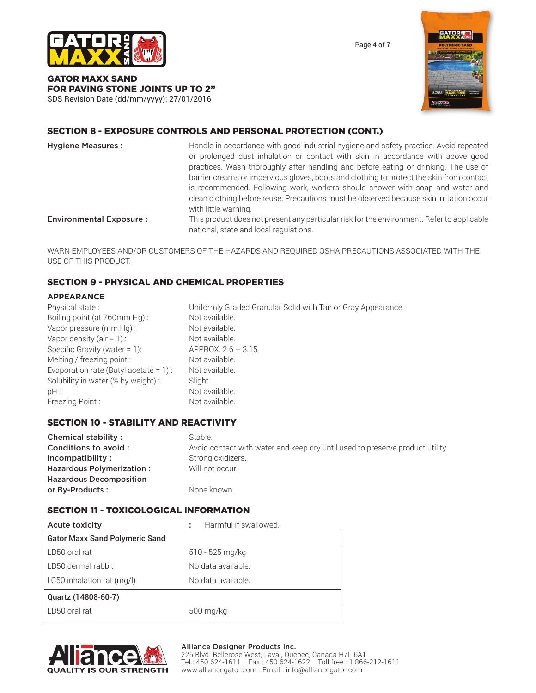

Page 4 of 7

GATOR MAXX SAND FOR PAVING STONE JOINTS UP TO 2" SDS Revision Date (dd/mm/yyyy): 27/01/2016



# SECTION 8 - EXPOSURE CONTROLS AND PERSONAL PROTECTION (CONT.)

| <b>Hygiene Measures:</b>       | Handle in accordance with good industrial hygiene and safety practice. Avoid repeated<br>or prolonged dust inhalation or contact with skin in accordance with above good<br>practices. Wash thoroughly after handling and before eating or drinking. The use of<br>barrier creams or impervious gloves, boots and clothing to protect the skin from contact<br>is recommended. Following work, workers should shower with soap and water and<br>clean clothing before reuse. Precautions must be observed because skin irritation occur<br>with little warning. |
|--------------------------------|-----------------------------------------------------------------------------------------------------------------------------------------------------------------------------------------------------------------------------------------------------------------------------------------------------------------------------------------------------------------------------------------------------------------------------------------------------------------------------------------------------------------------------------------------------------------|
| <b>Environmental Exposure:</b> | This product does not present any particular risk for the environment. Refer to applicable<br>national, state and local regulations.                                                                                                                                                                                                                                                                                                                                                                                                                            |

WARN EMPLOYEES AND/OR CUSTOMERS OF THE HAZARDS AND REQUIRED OSHA PRECAUTIONS ASSOCIATED WITH THE USE OF THIS PRODUCT.

### SECTION 9 - PHYSICAL AND CHEMICAL PROPERTIES

#### **APPEARANCE**

| Physical state:                           | Uniformly Graded Granular Solid with Tan or Gray Appearance. |
|-------------------------------------------|--------------------------------------------------------------|
| Boiling point (at 760mm Hg):              | Not available.                                               |
| Vapor pressure (mm Hg):                   | Not available.                                               |
| Vapor density $(air = 1)$ :               | Not available.                                               |
| Specific Gravity (water = $1$ ):          | $APPROX. 2.6 - 3.15$                                         |
| Melting / freezing point :                | Not available.                                               |
| Evaporation rate (Butyl acetate = $1$ ) : | Not available.                                               |
| Solubility in water (% by weight) :       | Slight.                                                      |
| $pH$ :                                    | Not available.                                               |
| Freezing Point:                           | Not available.                                               |

#### SECTION 10 - STABILITY AND REACTIVITY

| Chemical stability:            | Stable.                                                                       |
|--------------------------------|-------------------------------------------------------------------------------|
| Conditions to avoid :          | Avoid contact with water and keep dry until used to preserve product utility. |
| Incompatibility:               | Strong oxidizers.                                                             |
| Hazardous Polymerization:      | Will not occur.                                                               |
| <b>Hazardous Decomposition</b> |                                                                               |
| or By-Products:                | None known.                                                                   |

#### SECTION 11 - TOXICOLOGICAL INFORMATION

| <b>Acute toxicity</b>                 | Harmful if swallowed. |
|---------------------------------------|-----------------------|
| <b>Gator Maxx Sand Polymeric Sand</b> |                       |
| LD50 oral rat                         | $510 - 525$ mg/kg     |
| l LD50 dermal rabbit                  | No data available.    |
| LC50 inhalation rat (mg/l)            | No data available.    |
| Quartz (14808-60-7)                   |                       |
| LD50 oral rat                         | 500 mg/kg             |



#### Alliance Designer Products Inc.

225 Blvd. Bellerose West, Laval, Quebec, Canada H7L 6A1 Tel.: 450 624-1611 Fax : 450 624-1622 Toll free : 1 866-212-1611 www.alliancegator.com - Email : info@alliancegator.com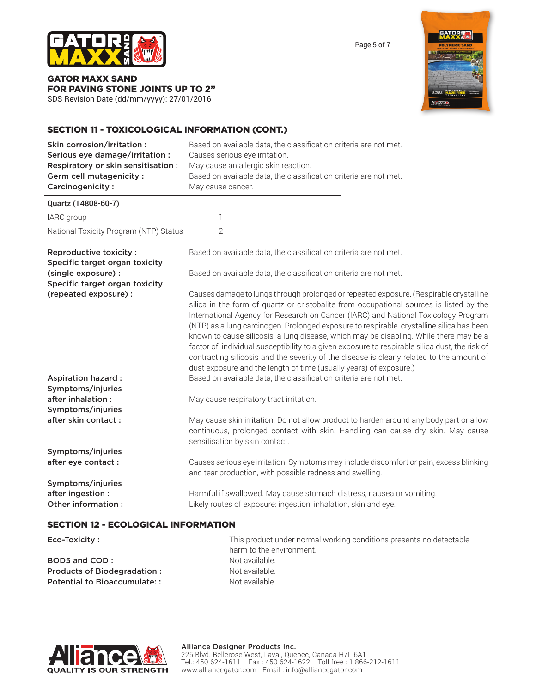

Page 5 of 7

GATOR MAXX SAND FOR PAVING STONE JOINTS UP TO 2"

SDS Revision Date (dd/mm/yyyy): 27/01/2016

# SECTION 11 - TOXICOLOGICAL INFORMATION (CONT.)

| Skin corrosion/irritation:<br>Serious eye damage/irritation:<br>Respiratory or skin sensitisation:<br>Germ cell mutagenicity :<br>Carcinogenicity: | Based on available data, the classification criteria are not met.<br>Causes serious eye irritation.<br>May cause an allergic skin reaction.<br>Based on available data, the classification criteria are not met.<br>May cause cancer.                                                                                                                                                                                                                                                                                                                                                                                                                                                                                              |  |
|----------------------------------------------------------------------------------------------------------------------------------------------------|------------------------------------------------------------------------------------------------------------------------------------------------------------------------------------------------------------------------------------------------------------------------------------------------------------------------------------------------------------------------------------------------------------------------------------------------------------------------------------------------------------------------------------------------------------------------------------------------------------------------------------------------------------------------------------------------------------------------------------|--|
| Quartz (14808-60-7)                                                                                                                                |                                                                                                                                                                                                                                                                                                                                                                                                                                                                                                                                                                                                                                                                                                                                    |  |
| IARC group                                                                                                                                         | $\mathbb{1}$                                                                                                                                                                                                                                                                                                                                                                                                                                                                                                                                                                                                                                                                                                                       |  |
| National Toxicity Program (NTP) Status                                                                                                             | $\overline{2}$                                                                                                                                                                                                                                                                                                                                                                                                                                                                                                                                                                                                                                                                                                                     |  |
| Reproductive toxicity:<br>Specific target organ toxicity<br>(single exposure) :                                                                    | Based on available data, the classification criteria are not met.<br>Based on available data, the classification criteria are not met.                                                                                                                                                                                                                                                                                                                                                                                                                                                                                                                                                                                             |  |
| Specific target organ toxicity                                                                                                                     |                                                                                                                                                                                                                                                                                                                                                                                                                                                                                                                                                                                                                                                                                                                                    |  |
| (repeated exposure) :                                                                                                                              | Causes damage to lungs through prolonged or repeated exposure. (Respirable crystalline<br>silica in the form of quartz or cristobalite from occupational sources is listed by the<br>International Agency for Research on Cancer (IARC) and National Toxicology Program<br>(NTP) as a lung carcinogen. Prolonged exposure to respirable crystalline silica has been<br>known to cause silicosis, a lung disease, which may be disabling. While there may be a<br>factor of individual susceptibility to a given exposure to respirable silica dust, the risk of<br>contracting silicosis and the severity of the disease is clearly related to the amount of<br>dust exposure and the length of time (usually years) of exposure.) |  |
| <b>Aspiration hazard:</b>                                                                                                                          | Based on available data, the classification criteria are not met.                                                                                                                                                                                                                                                                                                                                                                                                                                                                                                                                                                                                                                                                  |  |
| Symptoms/injuries<br>after inhalation:<br>Symptoms/injuries<br>after skin contact:                                                                 | May cause respiratory tract irritation.<br>May cause skin irritation. Do not allow product to harden around any body part or allow                                                                                                                                                                                                                                                                                                                                                                                                                                                                                                                                                                                                 |  |
|                                                                                                                                                    | continuous, prolonged contact with skin. Handling can cause dry skin. May cause<br>sensitisation by skin contact.                                                                                                                                                                                                                                                                                                                                                                                                                                                                                                                                                                                                                  |  |
| Symptoms/injuries<br>after eye contact :                                                                                                           | Causes serious eye irritation. Symptoms may include discomfort or pain, excess blinking<br>and tear production, with possible redness and swelling.                                                                                                                                                                                                                                                                                                                                                                                                                                                                                                                                                                                |  |
| Symptoms/injuries<br>after ingestion :<br>Other information :                                                                                      | Harmful if swallowed. May cause stomach distress, nausea or vomiting.<br>Likely routes of exposure: ingestion, inhalation, skin and eye.                                                                                                                                                                                                                                                                                                                                                                                                                                                                                                                                                                                           |  |

#### SECTION 12 - ECOLOGICAL INFORMATION

| Eco-Toxicity :               | This product under normal working conditions presents no detectable |
|------------------------------|---------------------------------------------------------------------|
|                              | harm to the environment.                                            |
| BOD5 and COD:                | Not available.                                                      |
| Products of Biodegradation:  | Not available.                                                      |
| Potential to Bioaccumulate:: | Not available.                                                      |



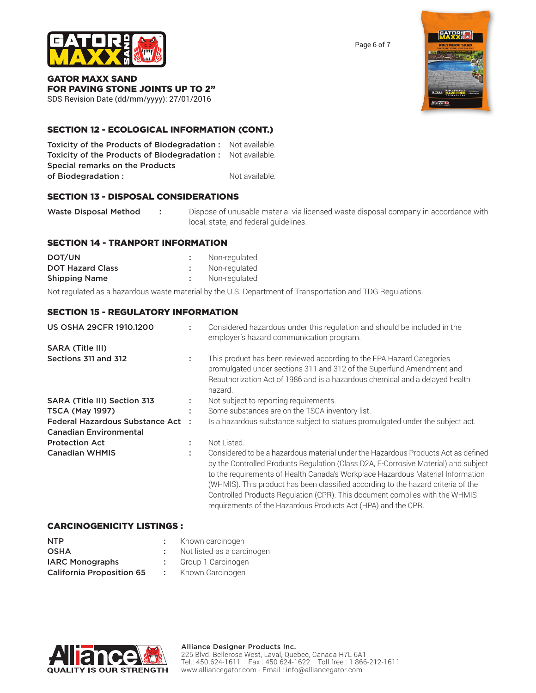

Page 6 of 7

GATOR MAXX SAND FOR PAVING STONE JOINTS UP TO 2"

SDS Revision Date (dd/mm/yyyy): 27/01/2016

### SECTION 12 - ECOLOGICAL INFORMATION (CONT.)

Toxicity of the Products of Biodegradation : Not available. Toxicity of the Products of Biodegradation : Not available. Special remarks on the Products of Biodegradation : Not available.

### SECTION 13 - DISPOSAL CONSIDERATIONS

Waste Disposal Method : Dispose of unusable material via licensed waste disposal company in accordance with local, state, and federal guidelines.

#### SECTION 14 - TRANPORT INFORMATION

| DOT/UN                  | Non-regulated |
|-------------------------|---------------|
| <b>DOT Hazard Class</b> | Non-regulated |
| <b>Shipping Name</b>    | Non-regulated |

Not regulated as a hazardous waste material by the U.S. Department of Transportation and TDG Regulations.

#### SECTION 15 - REGULATORY INFORMATION

| <b>US OSHA 29CFR 1910.1200</b>    |        | Considered hazardous under this regulation and should be included in the<br>employer's hazard communication program.                                                                                                                                                                                                                                                                                                                                                                             |
|-----------------------------------|--------|--------------------------------------------------------------------------------------------------------------------------------------------------------------------------------------------------------------------------------------------------------------------------------------------------------------------------------------------------------------------------------------------------------------------------------------------------------------------------------------------------|
| <b>SARA (Title III)</b>           |        |                                                                                                                                                                                                                                                                                                                                                                                                                                                                                                  |
| Sections 311 and 312              | ÷      | This product has been reviewed according to the EPA Hazard Categories<br>promulgated under sections 311 and 312 of the Superfund Amendment and<br>Reauthorization Act of 1986 and is a hazardous chemical and a delayed health<br>hazard.                                                                                                                                                                                                                                                        |
| SARA (Title III) Section 313      |        | Not subject to reporting requirements.                                                                                                                                                                                                                                                                                                                                                                                                                                                           |
| <b>TSCA (May 1997)</b>            | ٠<br>٠ | Some substances are on the TSCA inventory list.                                                                                                                                                                                                                                                                                                                                                                                                                                                  |
| Federal Hazardous Substance Act : |        | Is a hazardous substance subject to statues promulgated under the subject act.                                                                                                                                                                                                                                                                                                                                                                                                                   |
| <b>Canadian Environmental</b>     |        |                                                                                                                                                                                                                                                                                                                                                                                                                                                                                                  |
| <b>Protection Act</b>             |        | Not Listed.                                                                                                                                                                                                                                                                                                                                                                                                                                                                                      |
| <b>Canadian WHMIS</b>             |        | Considered to be a hazardous material under the Hazardous Products Act as defined<br>by the Controlled Products Regulation (Class D2A, E-Corrosive Material) and subject<br>to the requirements of Health Canada's Workplace Hazardous Material Information<br>(WHMIS). This product has been classified according to the hazard criteria of the<br>Controlled Products Regulation (CPR). This document complies with the WHMIS<br>requirements of the Hazardous Products Act (HPA) and the CPR. |

#### CARCINOGENICITY LISTINGS :

| <b>NTP</b>                       | Kno |
|----------------------------------|-----|
| <b>OSHA</b>                      | Not |
| <b>IARC Monographs</b>           | Gro |
| <b>California Proposition 65</b> | Knc |



- listed as a carcinogen
- up 1 Carcinogen
- own Carcinogen



Alliance Designer Products Inc. 225 Blvd. Bellerose West, Laval, Quebec, Canada H7L 6A1 Tel.: 450 624-1611 Fax : 450 624-1622 Toll free : 1 866-212-1611 www.alliancegator.com - Email : info@alliancegator.com